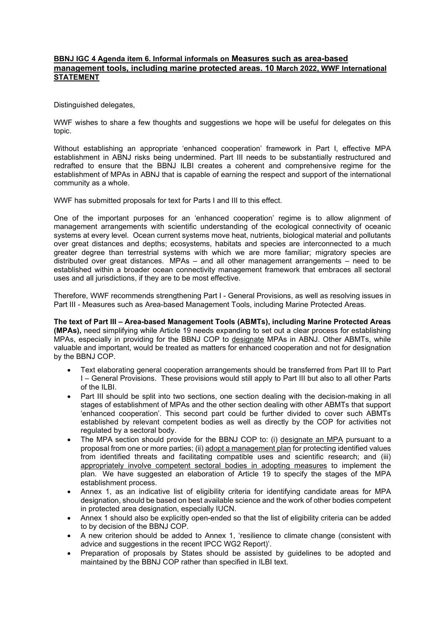## **BBNJ IGC 4 Agenda item 6. Informal informals on Measures such as area-based management tools, including marine protected areas. 10 March 2022, WWF International STATEMENT**

Distinguished delegates,

WWF wishes to share a few thoughts and suggestions we hope will be useful for delegates on this topic.

Without establishing an appropriate 'enhanced cooperation' framework in Part I, effective MPA establishment in ABNJ risks being undermined. Part III needs to be substantially restructured and redrafted to ensure that the BBNJ ILBI creates a coherent and comprehensive regime for the establishment of MPAs in ABNJ that is capable of earning the respect and support of the international community as a whole.

WWF has submitted proposals for text for Parts I and III to this effect.

One of the important purposes for an 'enhanced cooperation' regime is to allow alignment of management arrangements with scientific understanding of the ecological connectivity of oceanic systems at every level. Ocean current systems move heat, nutrients, biological material and pollutants over great distances and depths; ecosystems, habitats and species are interconnected to a much greater degree than terrestrial systems with which we are more familiar; migratory species are distributed over great distances. MPAs – and all other management arrangements – need to be established within a broader ocean connectivity management framework that embraces all sectoral uses and all jurisdictions, if they are to be most effective.

Therefore, WWF recommends strengthening Part I - General Provisions, as well as resolving issues in Part III - Measures such as Area-based Management Tools, including Marine Protected Areas.

**The text of Part III – Area-based Management Tools (ABMTs), including Marine Protected Areas (MPAs),** need simplifying while Article 19 needs expanding to set out a clear process for establishing MPAs, especially in providing for the BBNJ COP to designate MPAs in ABNJ. Other ABMTs, while valuable and important, would be treated as matters for enhanced cooperation and not for designation by the BBNJ COP.

- Text elaborating general cooperation arrangements should be transferred from Part III to Part I – General Provisions. These provisions would still apply to Part III but also to all other Parts of the ILBI.
- Part III should be split into two sections, one section dealing with the decision-making in all stages of establishment of MPAs and the other section dealing with other ABMTs that support 'enhanced cooperation'. This second part could be further divided to cover such ABMTs established by relevant competent bodies as well as directly by the COP for activities not regulated by a sectoral body.
- The MPA section should provide for the BBNJ COP to: (i) designate an MPA pursuant to a proposal from one or more parties; (ii) adopt a management plan for protecting identified values from identified threats and facilitating compatible uses and scientific research; and (iii) appropriately involve competent sectoral bodies in adopting measures to implement the plan. We have suggested an elaboration of Article 19 to specify the stages of the MPA establishment process.
- Annex 1, as an indicative list of eligibility criteria for identifying candidate areas for MPA designation, should be based on best available science and the work of other bodies competent in protected area designation, especially IUCN.
- Annex 1 should also be explicitly open-ended so that the list of eligibility criteria can be added to by decision of the BBNJ COP.
- A new criterion should be added to Annex 1, 'resilience to climate change (consistent with advice and suggestions in the recent IPCC WG2 Report)'.
- Preparation of proposals by States should be assisted by guidelines to be adopted and maintained by the BBNJ COP rather than specified in ILBI text.